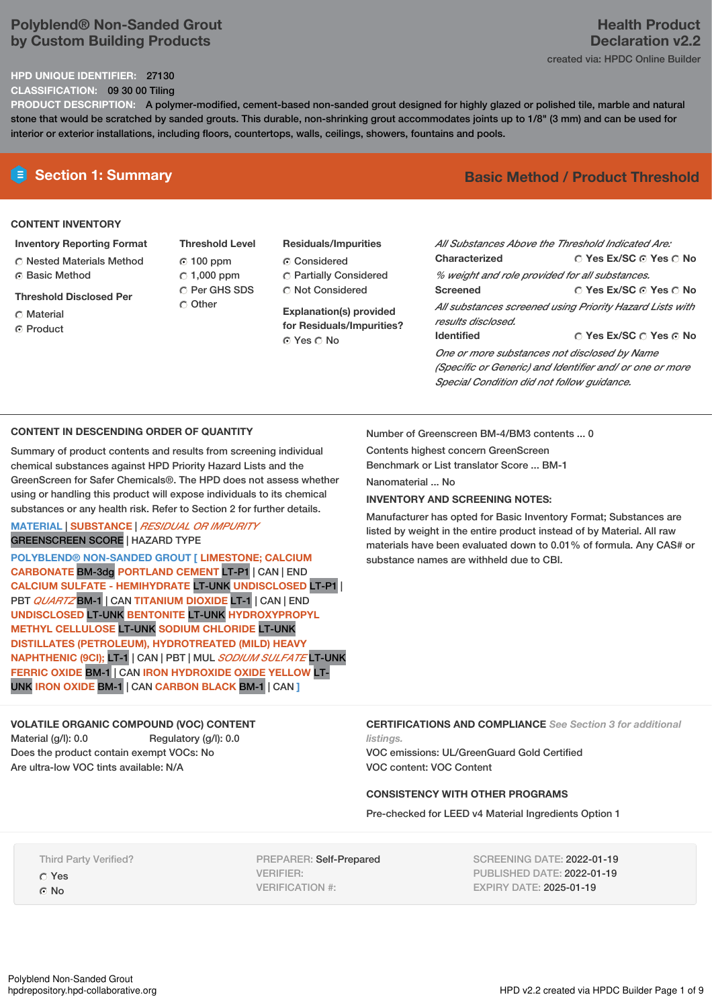# **Polyblend® Non-Sanded Grout by Custom Building Products**

# **HPD UNIQUE IDENTIFIER:** 27130

**CLASSIFICATION:** 09 30 00 Tiling

**PRODUCT DESCRIPTION:** A polymer-modified, cement-based non-sanded grout designed for highly glazed or polished tile, marble and natural stone that would be scratched by sanded grouts. This durable, non-shrinking grout accommodates joints up to 1/8" (3 mm) and can be used for interior or exterior installations, including floors, countertops, walls, ceilings, showers, fountains and pools.

## **CONTENT INVENTORY**

#### **Inventory Reporting Format**

Nested Materials Method **C** Basic Method

#### **Threshold Disclosed Per**

- Material
- ⊙ Product
- **Threshold Level** 100 ppm  $C$  1,000 ppm C Per GHS SDS Other
- **Residuals/Impurities** Considered Partially Considered C Not Considered

**Explanation(s) provided for Residuals/Impurities?** © Yes ∩ No

# **E** Section 1: Summary **Basic Method / Product Threshold**

**Health Product**

| All Substances Above the Threshold Indicated Are:        |                        |  |  |  |  |
|----------------------------------------------------------|------------------------|--|--|--|--|
| Characterized                                            | ○ Yes Ex/SC ⊙ Yes ○ No |  |  |  |  |
| % weight and role provided for all substances.           |                        |  |  |  |  |
| <b>Screened</b>                                          | ∩ Yes Ex/SC ∩ Yes ∩ No |  |  |  |  |
| All substances screened using Priority Hazard Lists with |                        |  |  |  |  |
| results disclosed.                                       |                        |  |  |  |  |
| <b>Identified</b>                                        | ○ Yes Ex/SC ○ Yes ⊙ No |  |  |  |  |
| One or more substances not disclosed by Name             |                        |  |  |  |  |
| (Specific or Generic) and Identifier and/ or one or more |                        |  |  |  |  |
| Special Condition did not follow guidance.               |                        |  |  |  |  |

## **CONTENT IN DESCENDING ORDER OF QUANTITY**

Summary of product contents and results from screening individual chemical substances against HPD Priority Hazard Lists and the GreenScreen for Safer Chemicals®. The HPD does not assess whether using or handling this product will expose individuals to its chemical substances or any health risk. Refer to Section 2 for further details.

#### **MATERIAL** | **SUBSTANCE** | *RESIDUAL OR IMPURITY* GREENSCREEN SCORE | HAZARD TYPE

**POLYBLEND® NON-SANDED GROUT [ LIMESTONE; CALCIUM CARBONATE** BM-3dg **PORTLAND CEMENT** LT-P1 | CAN | END **CALCIUM SULFATE - HEMIHYDRATE** LT-UNK **UNDISCLOSED** LT-P1 | PBT *QUARTZ* BM-1 | CAN **TITANIUM DIOXIDE** LT-1 | CAN | END **UNDISCLOSED** LT-UNK **BENTONITE** LT-UNK **HYDROXYPROPYL METHYL CELLULOSE** LT-UNK **SODIUM CHLORIDE** LT-UNK **DISTILLATES (PETROLEUM), HYDROTREATED (MILD) HEAVY NAPHTHENIC (9CI);** LT-1 | CAN | PBT | MUL *SODIUM SULFATE* LT-UNK **FERRIC OXIDE** BM-1 | CAN **IRON HYDROXIDE OXIDE YELLOW** LT-UNK **IRON OXIDE** BM-1 | CAN **CARBON BLACK** BM-1 | CAN **]**

# **VOLATILE ORGANIC COMPOUND (VOC) CONTENT**

Material (g/l): 0.0 Regulatory (g/l): 0.0 Does the product contain exempt VOCs: No Are ultra-low VOC tints available: N/A

Number of Greenscreen BM-4/BM3 contents ... 0

Contents highest concern GreenScreen Benchmark or List translator Score ... BM-1

Nanomaterial No.

## **INVENTORY AND SCREENING NOTES:**

Manufacturer has opted for Basic Inventory Format; Substances are listed by weight in the entire product instead of by Material. All raw materials have been evaluated down to 0.01% of formula. Any CAS# or substance names are withheld due to CBI.

#### **CERTIFICATIONS AND COMPLIANCE** *See Section 3 for additional listings.*

VOC emissions: UL/GreenGuard Gold Certified VOC content: VOC Content

# **CONSISTENCY WITH OTHER PROGRAMS**

Pre-checked for LEED v4 Material Ingredients Option 1

Third Party Verified? Yes  $\Omega$  No

PREPARER: Self-Prepared VERIFIER: VERIFICATION #:

SCREENING DATE: 2022-01-19 PUBLISHED DATE: 2022-01-19 EXPIRY DATE: 2025-01-19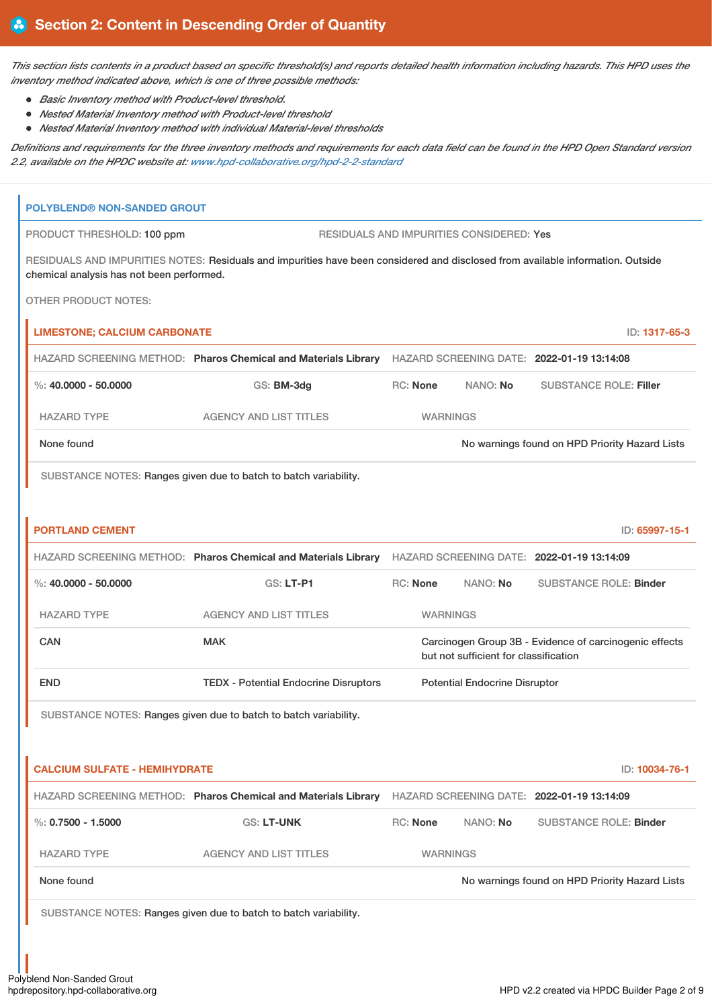This section lists contents in a product based on specific threshold(s) and reports detailed health information including hazards. This HPD uses the *inventory method indicated above, which is one of three possible methods:*

- *Basic Inventory method with Product-level threshold.*
- *Nested Material Inventory method with Product-level threshold*
- *Nested Material Inventory method with individual Material-level thresholds*

Definitions and requirements for the three inventory methods and requirements for each data field can be found in the HPD Open Standard version *2.2, available on the HPDC website at: [www.hpd-collaborative.org/hpd-2-2-standard](https://www.hpd-collaborative.org/hpd-2-2-standard)*

| <b>POLYBLEND® NON-SANDED GROUT</b>        |                                                                                                                                 |                 |                                          |                                                        |
|-------------------------------------------|---------------------------------------------------------------------------------------------------------------------------------|-----------------|------------------------------------------|--------------------------------------------------------|
| PRODUCT THRESHOLD: 100 ppm                |                                                                                                                                 |                 | RESIDUALS AND IMPURITIES CONSIDERED: Yes |                                                        |
| chemical analysis has not been performed. | RESIDUALS AND IMPURITIES NOTES: Residuals and impurities have been considered and disclosed from available information. Outside |                 |                                          |                                                        |
| <b>OTHER PRODUCT NOTES:</b>               |                                                                                                                                 |                 |                                          |                                                        |
| <b>LIMESTONE; CALCIUM CARBONATE</b>       |                                                                                                                                 |                 |                                          | ID: 1317-65-3                                          |
|                                           | HAZARD SCREENING METHOD: Pharos Chemical and Materials Library HAZARD SCREENING DATE: 2022-01-19 13:14:08                       |                 |                                          |                                                        |
| %: $40,0000 - 50,0000$                    | GS: BM-3dg                                                                                                                      | RC: None        | NANO: No                                 | <b>SUBSTANCE ROLE: Filler</b>                          |
| <b>HAZARD TYPE</b>                        | <b>AGENCY AND LIST TITLES</b>                                                                                                   | <b>WARNINGS</b> |                                          |                                                        |
| None found                                |                                                                                                                                 |                 |                                          | No warnings found on HPD Priority Hazard Lists         |
|                                           | SUBSTANCE NOTES: Ranges given due to batch to batch variability.                                                                |                 |                                          |                                                        |
| <b>PORTLAND CEMENT</b>                    |                                                                                                                                 |                 |                                          | ID: 65997-15-1                                         |
|                                           | HAZARD SCREENING METHOD: Pharos Chemical and Materials Library HAZARD SCREENING DATE: 2022-01-19 13:14:09                       |                 |                                          |                                                        |
| $\%$ : 40.0000 - 50.0000                  | GS: LT-P1                                                                                                                       | RC: None        | NANO: No                                 | <b>SUBSTANCE ROLE: Binder</b>                          |
| <b>HAZARD TYPE</b>                        | <b>AGENCY AND LIST TITLES</b>                                                                                                   | <b>WARNINGS</b> |                                          |                                                        |
| <b>CAN</b>                                | <b>MAK</b>                                                                                                                      |                 | but not sufficient for classification    | Carcinogen Group 3B - Evidence of carcinogenic effects |
| <b>END</b>                                | <b>TEDX - Potential Endocrine Disruptors</b>                                                                                    |                 | <b>Potential Endocrine Disruptor</b>     |                                                        |
|                                           | SUBSTANCE NOTES: Ranges given due to batch to batch variability.                                                                |                 |                                          |                                                        |
| <b>CALCIUM SULFATE - HEMIHYDRATE</b>      |                                                                                                                                 |                 |                                          | ID: 10034-76-1                                         |
|                                           | HAZARD SCREENING METHOD: Pharos Chemical and Materials Library HAZARD SCREENING DATE: 2022-01-19 13:14:09                       |                 |                                          |                                                        |
| $\%$ : 0.7500 - 1.5000                    | GS: LT-UNK                                                                                                                      | <b>RC: None</b> | NANO: No                                 | <b>SUBSTANCE ROLE: Binder</b>                          |
| <b>HAZARD TYPE</b>                        | <b>AGENCY AND LIST TITLES</b>                                                                                                   | <b>WARNINGS</b> |                                          |                                                        |
| None found                                |                                                                                                                                 |                 |                                          | No warnings found on HPD Priority Hazard Lists         |
|                                           | SUBSTANCE NOTES: Ranges given due to batch to batch variability.                                                                |                 |                                          |                                                        |
|                                           |                                                                                                                                 |                 |                                          |                                                        |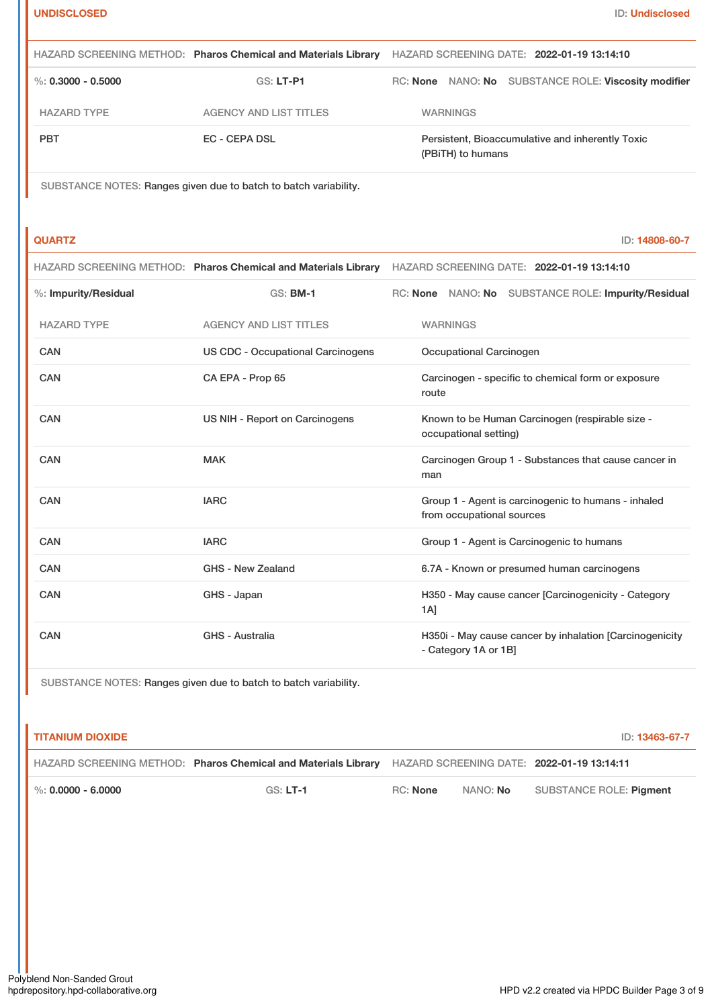|                        | HAZARD SCREENING METHOD: Pharos Chemical and Materials Library | HAZARD SCREENING DATE: 2022-01-19 13:14:10                            |  |  |
|------------------------|----------------------------------------------------------------|-----------------------------------------------------------------------|--|--|
| $\%$ : 0.3000 - 0.5000 | GS: LT-P1                                                      | RC: None NANO: No SUBSTANCE ROLE: Viscosity modifier                  |  |  |
| <b>HAZARD TYPE</b>     | AGENCY AND LIST TITLES                                         | <b>WARNINGS</b>                                                       |  |  |
| <b>PBT</b>             | EC - CEPA DSL                                                  | Persistent, Bioaccumulative and inherently Toxic<br>(PBITH) to humans |  |  |

SUBSTANCE NOTES: Ranges given due to batch to batch variability.

**QUARTZ** ID: **14808-60-7**

| HAZARD SCREENING METHOD: Pharos Chemical and Materials Library HAZARD SCREENING DATE: 2022-01-19 13:14:10 |  |  |
|-----------------------------------------------------------------------------------------------------------|--|--|
|-----------------------------------------------------------------------------------------------------------|--|--|

| %: Impurity/Residual | <b>GS: BM-1</b>                          | RC: None NANO: No SUBSTANCE ROLE: Impurity/Residual                              |
|----------------------|------------------------------------------|----------------------------------------------------------------------------------|
| <b>HAZARD TYPE</b>   | <b>AGENCY AND LIST TITLES</b>            | <b>WARNINGS</b>                                                                  |
| <b>CAN</b>           | <b>US CDC - Occupational Carcinogens</b> | Occupational Carcinogen                                                          |
| <b>CAN</b>           | CA EPA - Prop 65                         | Carcinogen - specific to chemical form or exposure<br>route                      |
| <b>CAN</b>           | US NIH - Report on Carcinogens           | Known to be Human Carcinogen (respirable size -<br>occupational setting)         |
| CAN                  | <b>MAK</b>                               | Carcinogen Group 1 - Substances that cause cancer in<br>man                      |
| CAN                  | <b>IARC</b>                              | Group 1 - Agent is carcinogenic to humans - inhaled<br>from occupational sources |
| <b>CAN</b>           | <b>IARC</b>                              | Group 1 - Agent is Carcinogenic to humans                                        |
| <b>CAN</b>           | <b>GHS - New Zealand</b>                 | 6.7A - Known or presumed human carcinogens                                       |
| <b>CAN</b>           | GHS - Japan                              | H350 - May cause cancer [Carcinogenicity - Category<br>1A]                       |
| CAN                  | GHS - Australia                          | H350i - May cause cancer by inhalation [Carcinogenicity<br>- Category 1A or 1B]  |

SUBSTANCE NOTES: Ranges given due to batch to batch variability.

| <b>TITANIUM DIOXIDE</b> |                                                                |                 |          | ID: 13463-67-7                             |
|-------------------------|----------------------------------------------------------------|-----------------|----------|--------------------------------------------|
|                         | HAZARD SCREENING METHOD: Pharos Chemical and Materials Library |                 |          | HAZARD SCREENING DATE: 2022-01-19 13:14:11 |
| $\%$ : 0.0000 - 6.0000  | $GS: LT-1$                                                     | <b>RC:</b> None | NANO: No | SUBSTANCE ROLE: <b>Pigment</b>             |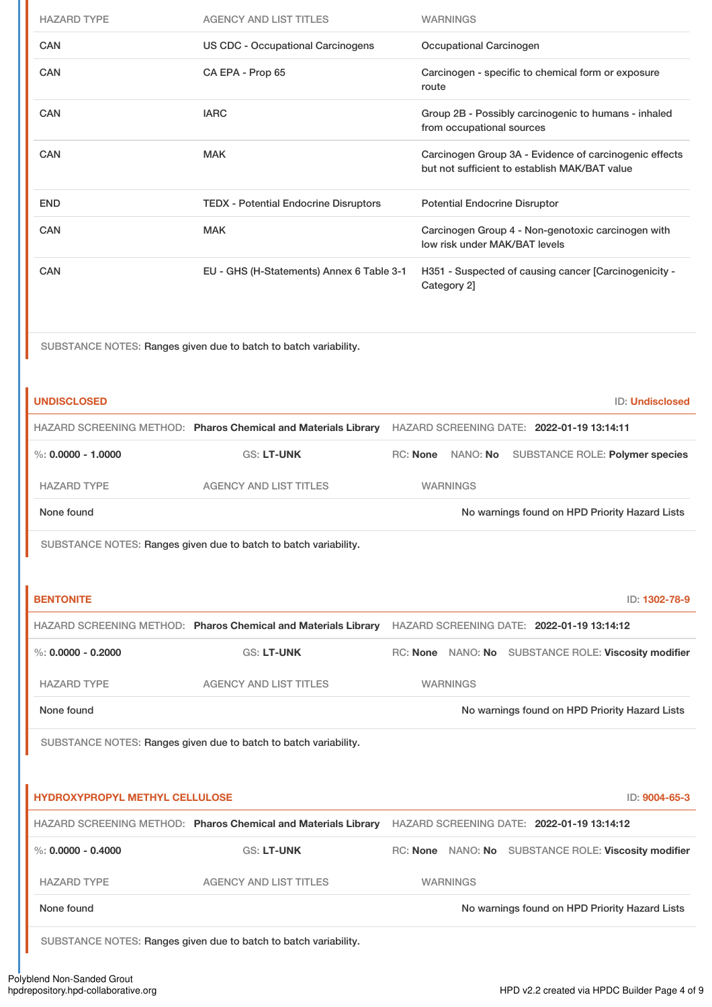| <b>HAZARD TYPE</b>                    | <b>AGENCY AND LIST TITLES</b>                                                                             |          |                                                                                                         | <b>WARNINGS</b>           |                                                      |  |
|---------------------------------------|-----------------------------------------------------------------------------------------------------------|----------|---------------------------------------------------------------------------------------------------------|---------------------------|------------------------------------------------------|--|
| <b>CAN</b>                            | US CDC - Occupational Carcinogens                                                                         |          |                                                                                                         | Occupational Carcinogen   |                                                      |  |
| <b>CAN</b>                            | CA EPA - Prop 65                                                                                          |          | route                                                                                                   |                           | Carcinogen - specific to chemical form or exposure   |  |
| <b>CAN</b>                            | <b>IARC</b>                                                                                               |          |                                                                                                         | from occupational sources | Group 2B - Possibly carcinogenic to humans - inhaled |  |
| <b>CAN</b>                            | <b>MAK</b>                                                                                                |          | Carcinogen Group 3A - Evidence of carcinogenic effects<br>but not sufficient to establish MAK/BAT value |                           |                                                      |  |
| <b>END</b>                            | <b>TEDX - Potential Endocrine Disruptors</b>                                                              |          |                                                                                                         |                           | <b>Potential Endocrine Disruptor</b>                 |  |
| <b>CAN</b>                            | <b>MAK</b>                                                                                                |          | Carcinogen Group 4 - Non-genotoxic carcinogen with<br>low risk under MAK/BAT levels                     |                           |                                                      |  |
| <b>CAN</b>                            | EU - GHS (H-Statements) Annex 6 Table 3-1                                                                 |          | H351 - Suspected of causing cancer [Carcinogenicity -<br>Category 2]                                    |                           |                                                      |  |
|                                       | SUBSTANCE NOTES: Ranges given due to batch to batch variability.                                          |          |                                                                                                         |                           |                                                      |  |
| <b>UNDISCLOSED</b>                    |                                                                                                           |          |                                                                                                         |                           | ID: Undisclosed                                      |  |
|                                       | HAZARD SCREENING METHOD: Pharos Chemical and Materials Library HAZARD SCREENING DATE: 2022-01-19 13:14:11 |          |                                                                                                         |                           |                                                      |  |
| $\%$ : 0.0000 - 1.0000                | <b>GS: LT-UNK</b>                                                                                         | RC: None |                                                                                                         | NANO: No                  | <b>SUBSTANCE ROLE: Polymer species</b>               |  |
| <b>HAZARD TYPE</b>                    | <b>AGENCY AND LIST TITLES</b>                                                                             |          |                                                                                                         | <b>WARNINGS</b>           |                                                      |  |
| None found                            |                                                                                                           |          |                                                                                                         |                           | No warnings found on HPD Priority Hazard Lists       |  |
|                                       | SUBSTANCE NOTES: Ranges given due to batch to batch variability.                                          |          |                                                                                                         |                           |                                                      |  |
|                                       |                                                                                                           |          |                                                                                                         |                           |                                                      |  |
| <b>BENTONITE</b>                      |                                                                                                           |          |                                                                                                         |                           | ID: 1302-78-9                                        |  |
|                                       | HAZARD SCREENING METHOD: Pharos Chemical and Materials Library HAZARD SCREENING DATE: 2022-01-19 13:14:12 |          |                                                                                                         |                           |                                                      |  |
| $\%$ : 0.0000 - 0.2000                | <b>GS: LT-UNK</b>                                                                                         |          |                                                                                                         |                           | RC: None NANO: No SUBSTANCE ROLE: Viscosity modifier |  |
| <b>HAZARD TYPE</b>                    | <b>AGENCY AND LIST TITLES</b>                                                                             |          |                                                                                                         | <b>WARNINGS</b>           |                                                      |  |
| None found                            |                                                                                                           |          |                                                                                                         |                           | No warnings found on HPD Priority Hazard Lists       |  |
|                                       | SUBSTANCE NOTES: Ranges given due to batch to batch variability.                                          |          |                                                                                                         |                           |                                                      |  |
|                                       |                                                                                                           |          |                                                                                                         |                           |                                                      |  |
| <b>HYDROXYPROPYL METHYL CELLULOSE</b> |                                                                                                           |          |                                                                                                         |                           | ID: 9004-65-3                                        |  |
|                                       | HAZARD SCREENING METHOD: Pharos Chemical and Materials Library HAZARD SCREENING DATE: 2022-01-19 13:14:12 |          |                                                                                                         |                           |                                                      |  |
| %: $0.0000 - 0.4000$                  | <b>GS: LT-UNK</b>                                                                                         |          |                                                                                                         |                           | RC: None NANO: No SUBSTANCE ROLE: Viscosity modifier |  |
| <b>HAZARD TYPE</b>                    | <b>AGENCY AND LIST TITLES</b>                                                                             |          |                                                                                                         | <b>WARNINGS</b>           |                                                      |  |
| None found                            |                                                                                                           |          |                                                                                                         |                           | No warnings found on HPD Priority Hazard Lists       |  |
|                                       | SUBSTANCE NOTES: Ranges given due to batch to batch variability.                                          |          |                                                                                                         |                           |                                                      |  |
|                                       |                                                                                                           |          |                                                                                                         |                           |                                                      |  |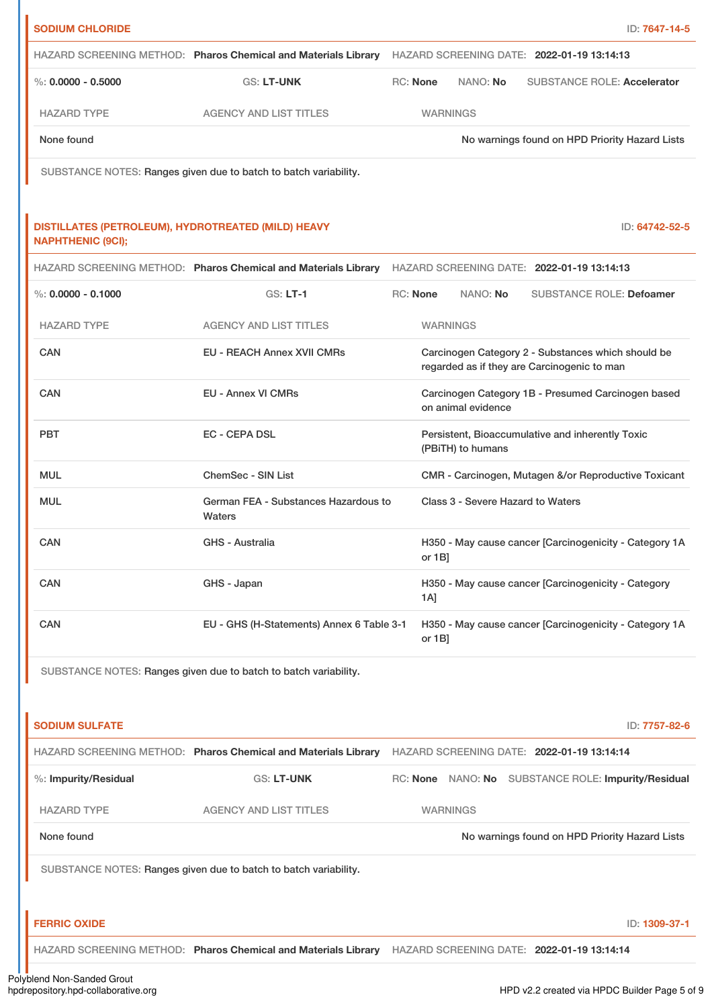| <b>SODIUM CHLORIDE</b>                                                         |                                                                                                           |                 |                 |                                             |                                                        | ID: 7647-14-5  |
|--------------------------------------------------------------------------------|-----------------------------------------------------------------------------------------------------------|-----------------|-----------------|---------------------------------------------|--------------------------------------------------------|----------------|
|                                                                                | HAZARD SCREENING METHOD: Pharos Chemical and Materials Library                                            |                 |                 | HAZARD SCREENING DATE: 2022-01-19 13:14:13  |                                                        |                |
| %: $0.0000 - 0.5000$                                                           | <b>GS: LT-UNK</b>                                                                                         | <b>RC: None</b> |                 | NANO: No                                    | <b>SUBSTANCE ROLE: Accelerator</b>                     |                |
| <b>HAZARD TYPE</b>                                                             | <b>AGENCY AND LIST TITLES</b>                                                                             |                 | <b>WARNINGS</b> |                                             |                                                        |                |
| None found                                                                     |                                                                                                           |                 |                 |                                             | No warnings found on HPD Priority Hazard Lists         |                |
|                                                                                | SUBSTANCE NOTES: Ranges given due to batch to batch variability.                                          |                 |                 |                                             |                                                        |                |
| DISTILLATES (PETROLEUM), HYDROTREATED (MILD) HEAVY<br><b>NAPHTHENIC (9CI);</b> |                                                                                                           |                 |                 |                                             |                                                        | ID: 64742-52-5 |
|                                                                                | HAZARD SCREENING METHOD: Pharos Chemical and Materials Library                                            |                 |                 | HAZARD SCREENING DATE: 2022-01-19 13:14:13  |                                                        |                |
| $\%$ : 0.0000 - 0.1000                                                         | $GS: LT-1$                                                                                                | RC: None        |                 | NANO: No                                    | <b>SUBSTANCE ROLE: Defoamer</b>                        |                |
| <b>HAZARD TYPE</b>                                                             | <b>AGENCY AND LIST TITLES</b>                                                                             |                 | <b>WARNINGS</b> |                                             |                                                        |                |
| CAN                                                                            | EU - REACH Annex XVII CMRs                                                                                |                 |                 | regarded as if they are Carcinogenic to man | Carcinogen Category 2 - Substances which should be     |                |
| <b>CAN</b>                                                                     | <b>EU - Annex VI CMRs</b>                                                                                 |                 |                 | on animal evidence                          | Carcinogen Category 1B - Presumed Carcinogen based     |                |
| <b>PBT</b>                                                                     | <b>EC - CEPA DSL</b>                                                                                      |                 |                 | (PBiTH) to humans                           | Persistent, Bioaccumulative and inherently Toxic       |                |
| <b>MUL</b>                                                                     | ChemSec - SIN List                                                                                        |                 |                 |                                             | CMR - Carcinogen, Mutagen &/or Reproductive Toxicant   |                |
| <b>MUL</b>                                                                     | German FEA - Substances Hazardous to<br>Waters                                                            |                 |                 | Class 3 - Severe Hazard to Waters           |                                                        |                |
| CAN                                                                            | <b>GHS - Australia</b>                                                                                    |                 | or $1B$ ]       |                                             | H350 - May cause cancer [Carcinogenicity - Category 1A |                |
| CAN                                                                            | GHS - Japan                                                                                               |                 | 1A]             |                                             | H350 - May cause cancer [Carcinogenicity - Category    |                |
| CAN                                                                            | EU - GHS (H-Statements) Annex 6 Table 3-1                                                                 |                 | or 1B]          |                                             | H350 - May cause cancer [Carcinogenicity - Category 1A |                |
|                                                                                | SUBSTANCE NOTES: Ranges given due to batch to batch variability.                                          |                 |                 |                                             |                                                        |                |
| <b>SODIUM SULFATE</b>                                                          |                                                                                                           |                 |                 |                                             |                                                        | ID: 7757-82-6  |
|                                                                                | HAZARD SCREENING METHOD: Pharos Chemical and Materials Library HAZARD SCREENING DATE: 2022-01-19 13:14:14 |                 |                 |                                             |                                                        |                |
| %: Impurity/Residual                                                           | <b>GS: LT-UNK</b>                                                                                         |                 |                 |                                             | RC: None NANO: No SUBSTANCE ROLE: Impurity/Residual    |                |
| <b>HAZARD TYPE</b>                                                             | <b>AGENCY AND LIST TITLES</b>                                                                             |                 | <b>WARNINGS</b> |                                             |                                                        |                |
| None found                                                                     |                                                                                                           |                 |                 |                                             | No warnings found on HPD Priority Hazard Lists         |                |
|                                                                                | SUBSTANCE NOTES: Ranges given due to batch to batch variability.                                          |                 |                 |                                             |                                                        |                |
| <b>FERRIC OXIDE</b>                                                            |                                                                                                           |                 |                 |                                             |                                                        | ID: 1309-37-1  |
|                                                                                | HAZARD SCREENING METHOD: Pharos Chemical and Materials Library HAZARD SCREENING DATE: 2022-01-19 13:14:14 |                 |                 |                                             |                                                        |                |
|                                                                                |                                                                                                           |                 |                 |                                             |                                                        |                |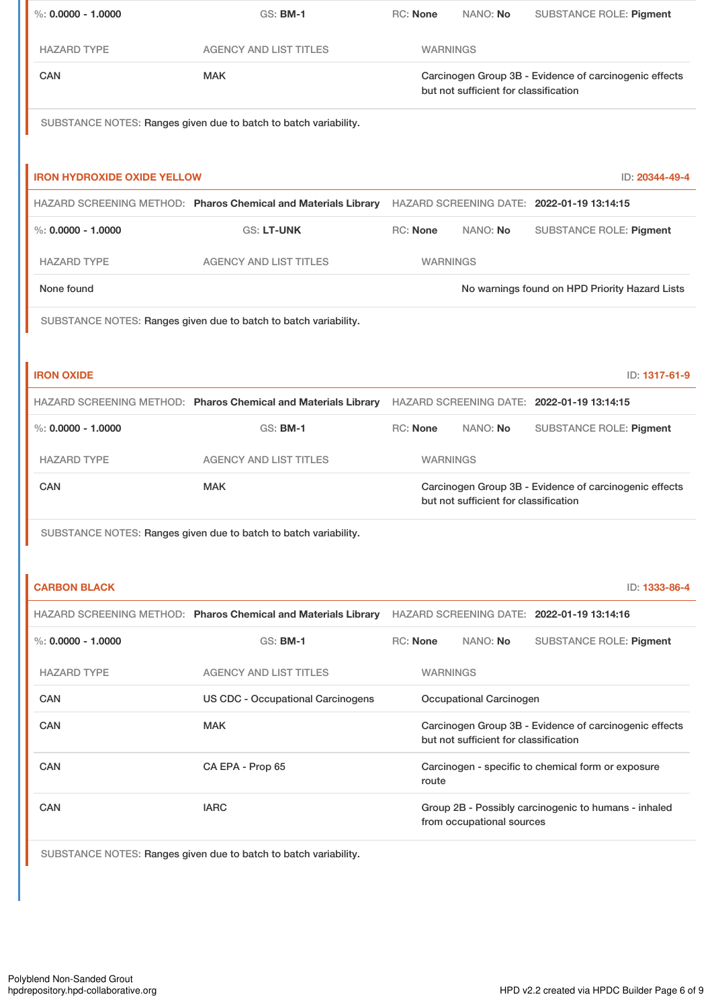| %: $0.0000 - 1.0000$               | <b>GS: BM-1</b>                                                                                           | RC: None                                                                                        | NANO: No                  | <b>SUBSTANCE ROLE: Pigment</b>                       |
|------------------------------------|-----------------------------------------------------------------------------------------------------------|-------------------------------------------------------------------------------------------------|---------------------------|------------------------------------------------------|
| <b>HAZARD TYPE</b>                 | <b>AGENCY AND LIST TITLES</b>                                                                             |                                                                                                 | <b>WARNINGS</b>           |                                                      |
| CAN                                | <b>MAK</b>                                                                                                | Carcinogen Group 3B - Evidence of carcinogenic effects<br>but not sufficient for classification |                           |                                                      |
|                                    | SUBSTANCE NOTES: Ranges given due to batch to batch variability.                                          |                                                                                                 |                           |                                                      |
| <b>IRON HYDROXIDE OXIDE YELLOW</b> |                                                                                                           |                                                                                                 |                           | ID: 20344-49-4                                       |
|                                    | HAZARD SCREENING METHOD: Pharos Chemical and Materials Library HAZARD SCREENING DATE: 2022-01-19 13:14:15 |                                                                                                 |                           |                                                      |
| %: $0.0000 - 1.0000$               | <b>GS: LT-UNK</b>                                                                                         | RC: None                                                                                        | NANO: No                  | <b>SUBSTANCE ROLE: Pigment</b>                       |
| <b>HAZARD TYPE</b>                 | <b>AGENCY AND LIST TITLES</b>                                                                             |                                                                                                 | <b>WARNINGS</b>           |                                                      |
| None found                         |                                                                                                           |                                                                                                 |                           | No warnings found on HPD Priority Hazard Lists       |
|                                    | SUBSTANCE NOTES: Ranges given due to batch to batch variability.                                          |                                                                                                 |                           |                                                      |
| <b>IRON OXIDE</b>                  |                                                                                                           |                                                                                                 |                           | ID: 1317-61-9                                        |
|                                    | HAZARD SCREENING METHOD: Pharos Chemical and Materials Library                                            |                                                                                                 |                           | HAZARD SCREENING DATE: 2022-01-19 13:14:15           |
| $\%$ : 0.0000 - 1.0000             | <b>GS: BM-1</b>                                                                                           | RC: None                                                                                        | NANO: No                  | <b>SUBSTANCE ROLE: Pigment</b>                       |
| <b>HAZARD TYPE</b>                 | <b>AGENCY AND LIST TITLES</b>                                                                             |                                                                                                 | <b>WARNINGS</b>           |                                                      |
| CAN                                | <b>MAK</b>                                                                                                | Carcinogen Group 3B - Evidence of carcinogenic effects<br>but not sufficient for classification |                           |                                                      |
|                                    | SUBSTANCE NOTES: Ranges given due to batch to batch variability.                                          |                                                                                                 |                           |                                                      |
| <b>CARBON BLACK</b>                |                                                                                                           |                                                                                                 |                           | ID: 1333-86-4                                        |
|                                    | HAZARD SCREENING METHOD: Pharos Chemical and Materials Library                                            |                                                                                                 |                           | HAZARD SCREENING DATE: 2022-01-19 13:14:16           |
| $\%$ : 0.0000 - 1.0000             | <b>GS: BM-1</b>                                                                                           | RC: None                                                                                        | NANO: No                  | <b>SUBSTANCE ROLE: Pigment</b>                       |
| <b>HAZARD TYPE</b>                 | <b>AGENCY AND LIST TITLES</b>                                                                             |                                                                                                 | <b>WARNINGS</b>           |                                                      |
| <b>CAN</b>                         | <b>US CDC - Occupational Carcinogens</b>                                                                  | Occupational Carcinogen                                                                         |                           |                                                      |
| CAN                                | <b>MAK</b>                                                                                                | Carcinogen Group 3B - Evidence of carcinogenic effects<br>but not sufficient for classification |                           |                                                      |
| <b>CAN</b>                         | CA EPA - Prop 65                                                                                          | route                                                                                           |                           | Carcinogen - specific to chemical form or exposure   |
| <b>CAN</b>                         | <b>IARC</b>                                                                                               |                                                                                                 | from occupational sources | Group 2B - Possibly carcinogenic to humans - inhaled |
|                                    | SUBSTANCE NOTES: Ranges given due to batch to batch variability.                                          |                                                                                                 |                           |                                                      |

ı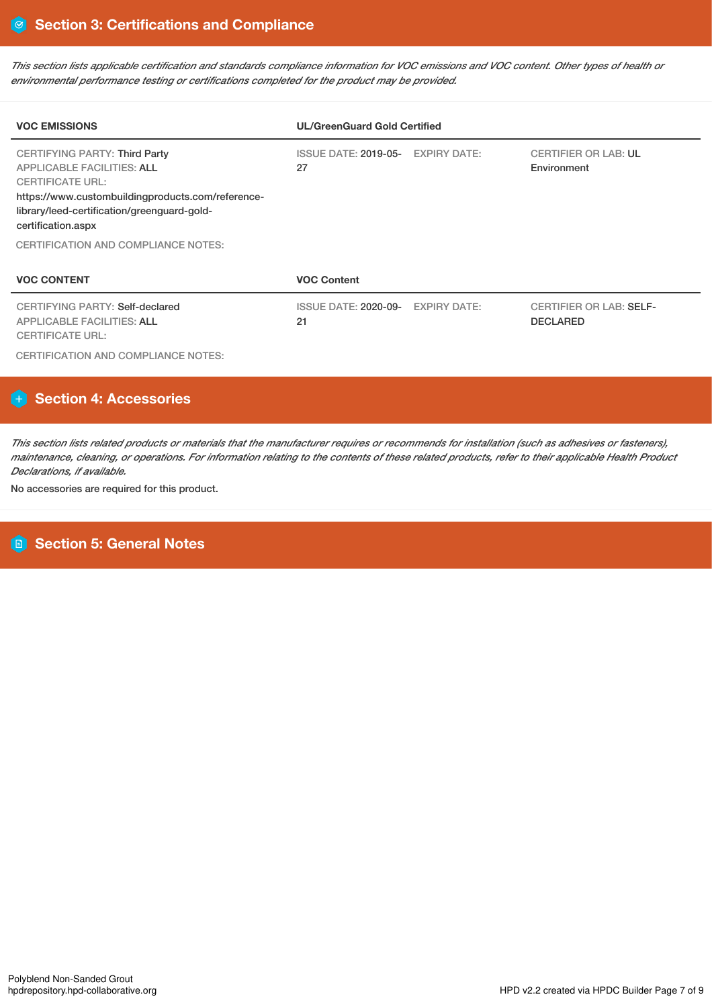This section lists applicable certification and standards compliance information for VOC emissions and VOC content. Other types of health or *environmental performance testing or certifications completed for the product may be provided.*

| <b>VOC EMISSIONS</b>                                                                                                                                                                                                           | <b>UL/GreenGuard Gold Certified</b>     |                     |                                                   |  |  |  |
|--------------------------------------------------------------------------------------------------------------------------------------------------------------------------------------------------------------------------------|-----------------------------------------|---------------------|---------------------------------------------------|--|--|--|
| <b>CERTIFYING PARTY: Third Party</b><br><b>APPLICABLE FACILITIES: ALL</b><br><b>CERTIFICATE URL:</b><br>https://www.custombuildingproducts.com/reference-<br>library/leed-certification/greenguard-gold-<br>certification.aspx | ISSUE DATE: 2019-05- EXPIRY DATE:<br>27 |                     | <b>CERTIFIER OR LAB: UL</b><br>Environment        |  |  |  |
| <b>CERTIFICATION AND COMPLIANCE NOTES:</b>                                                                                                                                                                                     |                                         |                     |                                                   |  |  |  |
| <b>VOC CONTENT</b>                                                                                                                                                                                                             | <b>VOC Content</b>                      |                     |                                                   |  |  |  |
| CERTIFYING PARTY: Self-declared<br><b>APPLICABLE FACILITIES: ALL</b><br><b>CERTIFICATE URL:</b>                                                                                                                                | ISSUE DATE: 2020-09-<br>21              | <b>EXPIRY DATE:</b> | <b>CERTIFIER OR LAB: SELF-</b><br><b>DECLARED</b> |  |  |  |

CERTIFICATION AND COMPLIANCE NOTES:

# **Section 4: Accessories**

This section lists related products or materials that the manufacturer requires or recommends for installation (such as adhesives or fasteners), maintenance, cleaning, or operations. For information relating to the contents of these related products, refer to their applicable Health Product *Declarations, if available.*

No accessories are required for this product.

# **Section 5: General Notes**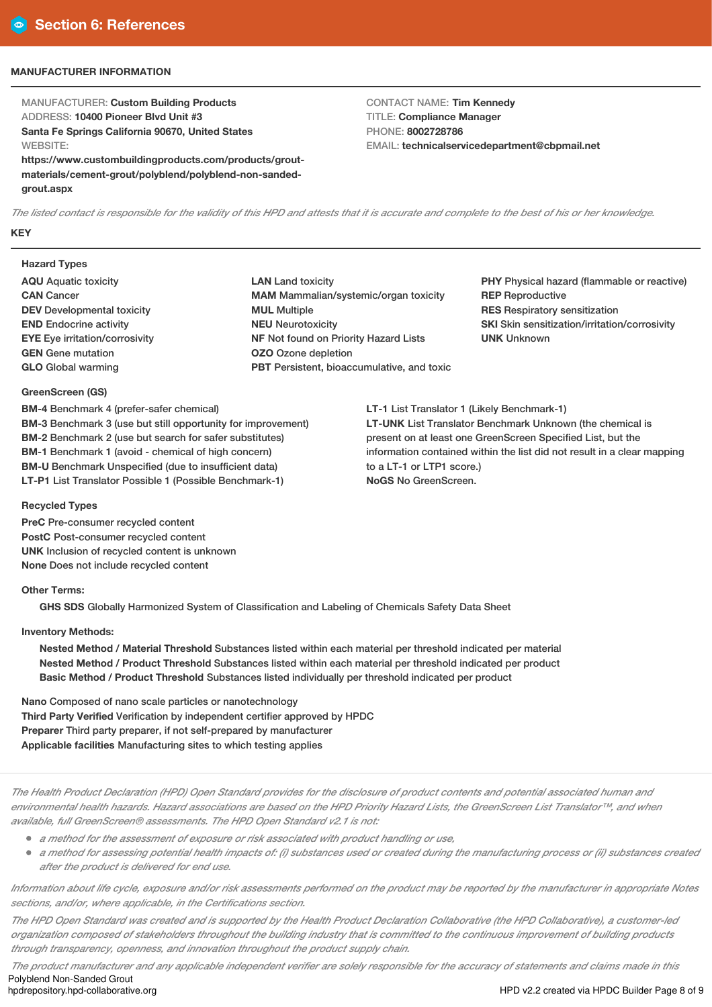## **MANUFACTURER INFORMATION**

MANUFACTURER: **Custom Building Products** ADDRESS: **10400 Pioneer Blvd Unit #3 Santa Fe Springs California 90670, United States WEBSITE:** 

**https://www.custombuildingproducts.com/products/groutmaterials/cement-grout/polyblend/polyblend-non-sandedgrout.aspx**

CONTACT NAME: **Tim Kennedy** TITLE: **Compliance Manager** PHONE: **8002728786** EMAIL: **technicalservicedepartment@cbpmail.net**

The listed contact is responsible for the validity of this HPD and attests that it is accurate and complete to the best of his or her knowledge. **KEY**

#### **Hazard Types**

- **AQU** Aquatic toxicity **CAN** Cancer **DEV** Developmental toxicity **END** Endocrine activity **EYE** Eye irritation/corrosivity **GEN** Gene mutation **GLO** Global warming
- **LAN** Land toxicity **MAM** Mammalian/systemic/organ toxicity **MUL** Multiple **NEU** Neurotoxicity **NF** Not found on Priority Hazard Lists **OZO** Ozone depletion **PBT** Persistent, bioaccumulative, and toxic

**PHY** Physical hazard (flammable or reactive) **REP** Reproductive **RES** Respiratory sensitization **SKI** Skin sensitization/irritation/corrosivity **UNK** Unknown

**LT-1** List Translator 1 (Likely Benchmark-1) **LT-UNK** List Translator Benchmark Unknown (the chemical is present on at least one GreenScreen Specified List, but the information contained within the list did not result in a clear mapping to a LT-1 or LTP1 score.) **NoGS** No GreenScreen.

## **GreenScreen (GS)**

**BM-4** Benchmark 4 (prefer-safer chemical) **BM-3** Benchmark 3 (use but still opportunity for improvement) **BM-2** Benchmark 2 (use but search for safer substitutes) **BM-1** Benchmark 1 (avoid - chemical of high concern) **BM-U** Benchmark Unspecified (due to insufficient data) **LT-P1** List Translator Possible 1 (Possible Benchmark-1)

# **Recycled Types**

**PreC** Pre-consumer recycled content **PostC** Post-consumer recycled content **UNK** Inclusion of recycled content is unknown **None** Does not include recycled content

# **Other Terms:**

**GHS SDS** Globally Harmonized System of Classification and Labeling of Chemicals Safety Data Sheet

# **Inventory Methods:**

**Nested Method / Material Threshold** Substances listed within each material per threshold indicated per material **Nested Method / Product Threshold** Substances listed within each material per threshold indicated per product **Basic Method / Product Threshold** Substances listed individually per threshold indicated per product

**Nano** Composed of nano scale particles or nanotechnology **Third Party Verified** Verification by independent certifier approved by HPDC **Preparer** Third party preparer, if not self-prepared by manufacturer **Applicable facilities** Manufacturing sites to which testing applies

The Health Product Declaration (HPD) Open Standard provides for the disclosure of product contents and potential associated human and environmental health hazards. Hazard associations are based on the HPD Priority Hazard Lists, the GreenScreen List Translator™, and when *available, full GreenScreen® assessments. The HPD Open Standard v2.1 is not:*

- *<sup>a</sup> method for the assessment of exposure or risk associated with product handling or use,*
- a method for assessing potential health impacts of: (i) substances used or created during the manufacturing process or (ii) substances created *after the product is delivered for end use.*

Information about life cycle, exposure and/or risk assessments performed on the product may be reported by the manufacturer in appropriate Notes *sections, and/or, where applicable, in the Certifications section.*

The HPD Open Standard was created and is supported by the Health Product Declaration Collaborative (the HPD Collaborative), a customer-led organization composed of stakeholders throughout the building industry that is committed to the continuous improvement of building products *through transparency, openness, and innovation throughout the product supply chain.*

The product manufacturer and any applicable independent verifier are solely responsible for the accuracy of statements and claims made in this Polyblend Non-Sanded Grout<br>hodrepository.hpd-collaborative.org